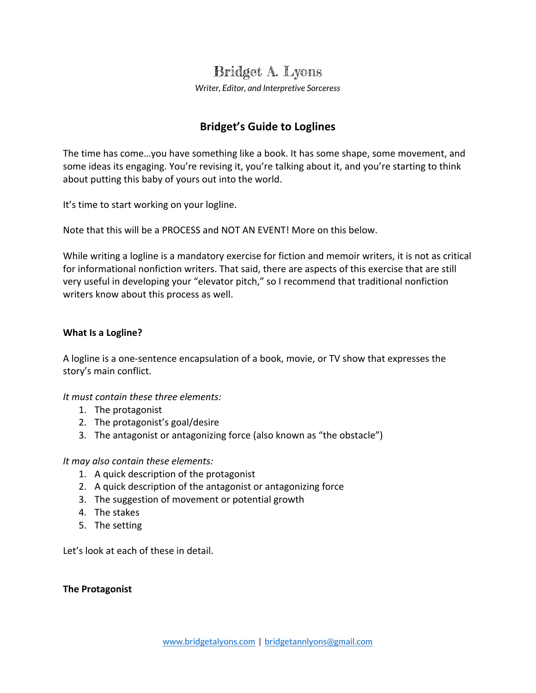# Bridget A. Lyons

*Writer, Editor, and Interpretive Sorceress*

## **Bridget's Guide to Loglines**

The time has come...you have something like a book. It has some shape, some movement, and some ideas its engaging. You're revising it, you're talking about it, and you're starting to think about putting this baby of yours out into the world.

It's time to start working on your logline.

Note that this will be a PROCESS and NOT AN EVENT! More on this below.

While writing a logline is a mandatory exercise for fiction and memoir writers, it is not as critical for informational nonfiction writers. That said, there are aspects of this exercise that are still very useful in developing your "elevator pitch," so I recommend that traditional nonfiction writers know about this process as well.

## **What Is a Logline?**

A logline is a one-sentence encapsulation of a book, movie, or TV show that expresses the story's main conflict.

*It must contain these three elements:*

- 1. The protagonist
- 2. The protagonist's goal/desire
- 3. The antagonist or antagonizing force (also known as "the obstacle")

*It may also contain these elements:*

- 1. A quick description of the protagonist
- 2. A quick description of the antagonist or antagonizing force
- 3. The suggestion of movement or potential growth
- 4. The stakes
- 5. The setting

Let's look at each of these in detail.

#### **The Protagonist**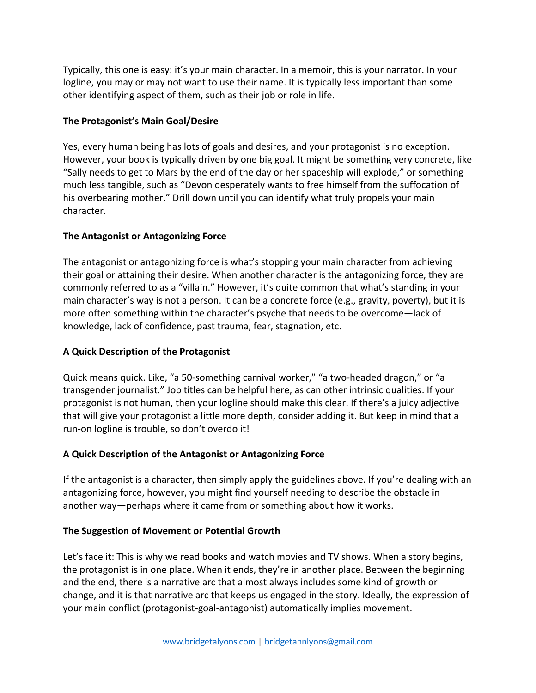Typically, this one is easy: it's your main character. In a memoir, this is your narrator. In your logline, you may or may not want to use their name. It is typically less important than some other identifying aspect of them, such as their job or role in life.

## **The Protagonist's Main Goal/Desire**

Yes, every human being has lots of goals and desires, and your protagonist is no exception. However, your book is typically driven by one big goal. It might be something very concrete, like "Sally needs to get to Mars by the end of the day or her spaceship will explode," or something much less tangible, such as "Devon desperately wants to free himself from the suffocation of his overbearing mother." Drill down until you can identify what truly propels your main character.

## **The Antagonist or Antagonizing Force**

The antagonist or antagonizing force is what's stopping your main character from achieving their goal or attaining their desire. When another character is the antagonizing force, they are commonly referred to as a "villain." However, it's quite common that what's standing in your main character's way is not a person. It can be a concrete force (e.g., gravity, poverty), but it is more often something within the character's psyche that needs to be overcome—lack of knowledge, lack of confidence, past trauma, fear, stagnation, etc.

## **A Quick Description of the Protagonist**

Quick means quick. Like, "a 50-something carnival worker," "a two-headed dragon," or "a transgender journalist." Job titles can be helpful here, as can other intrinsic qualities. If your protagonist is not human, then your logline should make this clear. If there's a juicy adjective that will give your protagonist a little more depth, consider adding it. But keep in mind that a run-on logline is trouble, so don't overdo it!

## **A Quick Description of the Antagonist or Antagonizing Force**

If the antagonist is a character, then simply apply the guidelines above. If you're dealing with an antagonizing force, however, you might find yourself needing to describe the obstacle in another way—perhaps where it came from or something about how it works.

## **The Suggestion of Movement or Potential Growth**

Let's face it: This is why we read books and watch movies and TV shows. When a story begins, the protagonist is in one place. When it ends, they're in another place. Between the beginning and the end, there is a narrative arc that almost always includes some kind of growth or change, and it is that narrative arc that keeps us engaged in the story. Ideally, the expression of your main conflict (protagonist-goal-antagonist) automatically implies movement.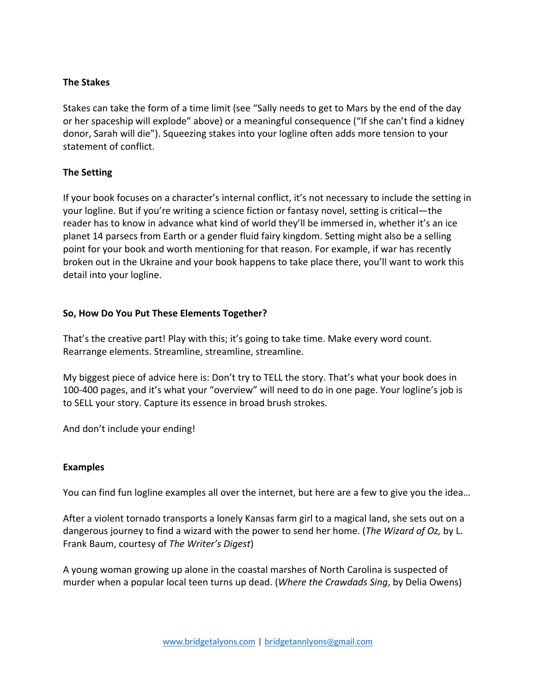#### **The Stakes**

Stakes can take the form of a time limit (see "Sally needs to get to Mars by the end of the day or her spaceship will explode" above) or a meaningful consequence ("If she can't find a kidney donor, Sarah will die"). Squeezing stakes into your logline often adds more tension to your statement of conflict.

## **The Setting**

If your book focuses on a character's internal conflict, it's not necessary to include the setting in your logline. But if you're writing a science fiction or fantasy novel, setting is critical—the reader has to know in advance what kind of world they'll be immersed in, whether it's an ice planet 14 parsecs from Earth or a gender fluid fairy kingdom. Setting might also be a selling point for your book and worth mentioning for that reason. For example, if war has recently broken out in the Ukraine and your book happens to take place there, you'll want to work this detail into your logline.

## **So, How Do You Put These Elements Together?**

That's the creative part! Play with this; it's going to take time. Make every word count. Rearrange elements. Streamline, streamline, streamline.

My biggest piece of advice here is: Don't try to TELL the story. That's what your book does in 100-400 pages, and it's what your "overview" will need to do in one page. Your logline's job is to SELL your story. Capture its essence in broad brush strokes.

And don't include your ending!

#### **Examples**

You can find fun logline examples all over the internet, but here are a few to give you the idea...

After a violent tornado transports a lonely Kansas farm girl to a magical land, she sets out on a dangerous journey to find a wizard with the power to send her home. (*The Wizard of Oz, by L.* Frank Baum, courtesy of *The Writer's Digest*)

A young woman growing up alone in the coastal marshes of North Carolina is suspected of murder when a popular local teen turns up dead. (*Where the Crawdads Sing*, by Delia Owens)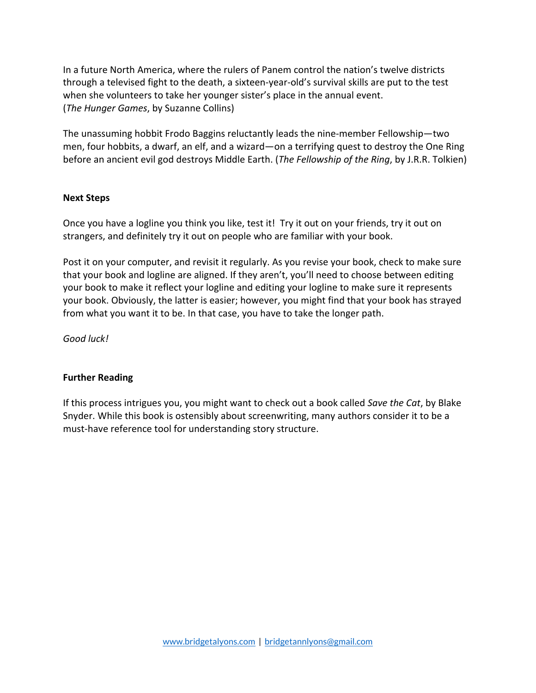In a future North America, where the rulers of Panem control the nation's twelve districts through a televised fight to the death, a sixteen-year-old's survival skills are put to the test when she volunteers to take her younger sister's place in the annual event. (*The Hunger Games*, by Suzanne Collins)

The unassuming hobbit Frodo Baggins reluctantly leads the nine-member Fellowship—two men, four hobbits, a dwarf, an elf, and a wizard—on a terrifying quest to destroy the One Ring before an ancient evil god destroys Middle Earth. (*The Fellowship of the Ring*, by J.R.R. Tolkien)

#### **Next Steps**

Once you have a logline you think you like, test it! Try it out on your friends, try it out on strangers, and definitely try it out on people who are familiar with your book.

Post it on your computer, and revisit it regularly. As you revise your book, check to make sure that your book and logline are aligned. If they aren't, you'll need to choose between editing your book to make it reflect your logline and editing your logline to make sure it represents your book. Obviously, the latter is easier; however, you might find that your book has strayed from what you want it to be. In that case, you have to take the longer path.

*Good luck!*

#### **Further Reading**

If this process intrigues you, you might want to check out a book called *Save the Cat*, by Blake Snyder. While this book is ostensibly about screenwriting, many authors consider it to be a must-have reference tool for understanding story structure.